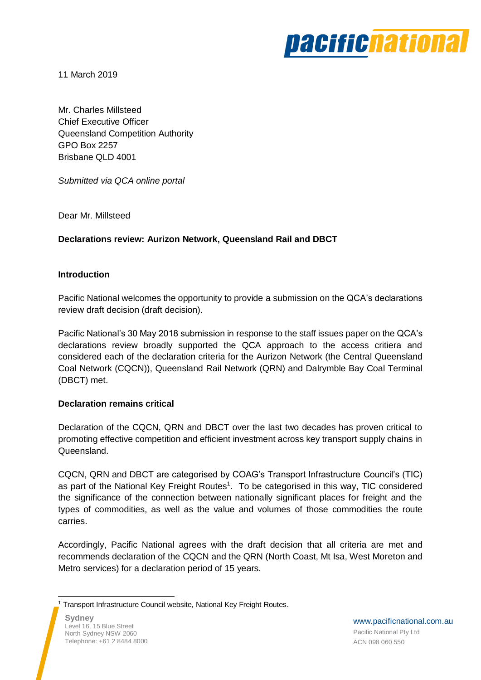

11 March 2019

Mr. Charles Millsteed Chief Executive Officer Queensland Competition Authority GPO Box 2257 Brisbane QLD 4001

*Submitted via QCA online portal*

Dear Mr. Millsteed

# **Declarations review: Aurizon Network, Queensland Rail and DBCT**

### **Introduction**

Pacific National welcomes the opportunity to provide a submission on the QCA's declarations review draft decision (draft decision).

Pacific National's 30 May 2018 submission in response to the staff issues paper on the QCA's declarations review broadly supported the QCA approach to the access critiera and considered each of the declaration criteria for the Aurizon Network (the Central Queensland Coal Network (CQCN)), Queensland Rail Network (QRN) and Dalrymble Bay Coal Terminal (DBCT) met.

### **Declaration remains critical**

Declaration of the CQCN, QRN and DBCT over the last two decades has proven critical to promoting effective competition and efficient investment across key transport supply chains in Queensland.

CQCN, QRN and DBCT are categorised by COAG's Transport Infrastructure Council's (TIC) as part of the National Key Freight Routes<sup>1</sup>. To be categorised in this way, TIC considered the significance of the connection between nationally significant places for freight and the types of commodities, as well as the value and volumes of those commodities the route carries.

Accordingly, Pacific National agrees with the draft decision that all criteria are met and recommends declaration of the CQCN and the QRN (North Coast, Mt Isa, West Moreton and Metro services) for a declaration period of 15 years.

 <sup>1</sup> Transport Infrastructure Council website, National Key Freight Routes.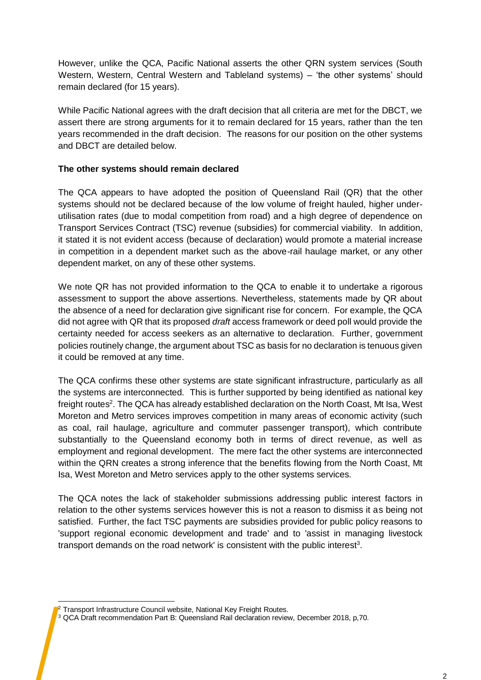However, unlike the QCA, Pacific National asserts the other QRN system services (South Western, Western, Central Western and Tableland systems) – 'the other systems' should remain declared (for 15 years).

While Pacific National agrees with the draft decision that all criteria are met for the DBCT, we assert there are strong arguments for it to remain declared for 15 years, rather than the ten years recommended in the draft decision. The reasons for our position on the other systems and DBCT are detailed below.

## **The other systems should remain declared**

The QCA appears to have adopted the position of Queensland Rail (QR) that the other systems should not be declared because of the low volume of freight hauled, higher underutilisation rates (due to modal competition from road) and a high degree of dependence on Transport Services Contract (TSC) revenue (subsidies) for commercial viability. In addition, it stated it is not evident access (because of declaration) would promote a material increase in competition in a dependent market such as the above-rail haulage market, or any other dependent market, on any of these other systems.

We note QR has not provided information to the QCA to enable it to undertake a rigorous assessment to support the above assertions. Nevertheless, statements made by QR about the absence of a need for declaration give significant rise for concern. For example, the QCA did not agree with QR that its proposed *draft* access framework or deed poll would provide the certainty needed for access seekers as an alternative to declaration. Further, government policies routinely change, the argument about TSC as basis for no declaration is tenuous given it could be removed at any time.

The QCA confirms these other systems are state significant infrastructure, particularly as all the systems are interconnected. This is further supported by being identified as national key freight routes<sup>2</sup>. The QCA has already established declaration on the North Coast, Mt Isa, West Moreton and Metro services improves competition in many areas of economic activity (such as coal, rail haulage, agriculture and commuter passenger transport), which contribute substantially to the Queensland economy both in terms of direct revenue, as well as employment and regional development. The mere fact the other systems are interconnected within the QRN creates a strong inference that the benefits flowing from the North Coast, Mt Isa, West Moreton and Metro services apply to the other systems services.

The QCA notes the lack of stakeholder submissions addressing public interest factors in relation to the other systems services however this is not a reason to dismiss it as being not satisfied. Further, the fact TSC payments are subsidies provided for public policy reasons to 'support regional economic development and trade' and to 'assist in managing livestock transport demands on the road network' is consistent with the public interest<sup>3</sup>.

 <sup>2</sup> Transport Infrastructure Council website, National Key Freight Routes.

<sup>3</sup> QCA Draft recommendation Part B: Queensland Rail declaration review, December 2018, p,70.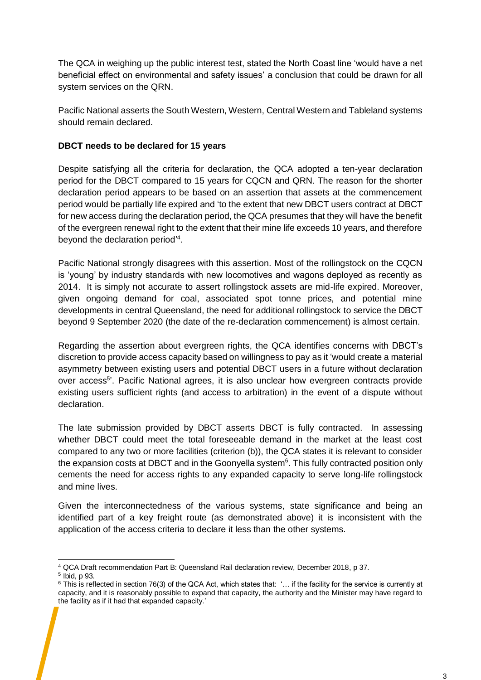The QCA in weighing up the public interest test, stated the North Coast line 'would have a net beneficial effect on environmental and safety issues' a conclusion that could be drawn for all system services on the QRN.

Pacific National asserts the South Western, Western, Central Western and Tableland systems should remain declared.

## **DBCT needs to be declared for 15 years**

Despite satisfying all the criteria for declaration, the QCA adopted a ten-year declaration period for the DBCT compared to 15 years for CQCN and QRN. The reason for the shorter declaration period appears to be based on an assertion that assets at the commencement period would be partially life expired and 'to the extent that new DBCT users contract at DBCT for new access during the declaration period, the QCA presumes that they will have the benefit of the evergreen renewal right to the extent that their mine life exceeds 10 years, and therefore beyond the declaration period<sup>'4</sup>.

Pacific National strongly disagrees with this assertion. Most of the rollingstock on the CQCN is 'young' by industry standards with new locomotives and wagons deployed as recently as 2014. It is simply not accurate to assert rollingstock assets are mid-life expired. Moreover, given ongoing demand for coal, associated spot tonne prices, and potential mine developments in central Queensland, the need for additional rollingstock to service the DBCT beyond 9 September 2020 (the date of the re-declaration commencement) is almost certain.

Regarding the assertion about evergreen rights, the QCA identifies concerns with DBCT's discretion to provide access capacity based on willingness to pay as it 'would create a material asymmetry between existing users and potential DBCT users in a future without declaration over access<sup>5</sup>'. Pacific National agrees, it is also unclear how evergreen contracts provide existing users sufficient rights (and access to arbitration) in the event of a dispute without declaration.

The late submission provided by DBCT asserts DBCT is fully contracted. In assessing whether DBCT could meet the total foreseeable demand in the market at the least cost compared to any two or more facilities (criterion (b)), the QCA states it is relevant to consider the expansion costs at DBCT and in the Goonyella system<sup>6</sup>. This fully contracted position only cements the need for access rights to any expanded capacity to serve long-life rollingstock and mine lives.

Given the interconnectedness of the various systems, state significance and being an identified part of a key freight route (as demonstrated above) it is inconsistent with the application of the access criteria to declare it less than the other systems.

 $\overline{a}$ <sup>4</sup> QCA Draft recommendation Part B: Queensland Rail declaration review, December 2018, p 37.

<sup>5</sup> Ibid, p 93.

 $6$  This is reflected in section 76(3) of the QCA Act, which states that: '... if the facility for the service is currently at capacity, and it is reasonably possible to expand that capacity, the authority and the Minister may have regard to the facility as if it had that expanded capacity.'